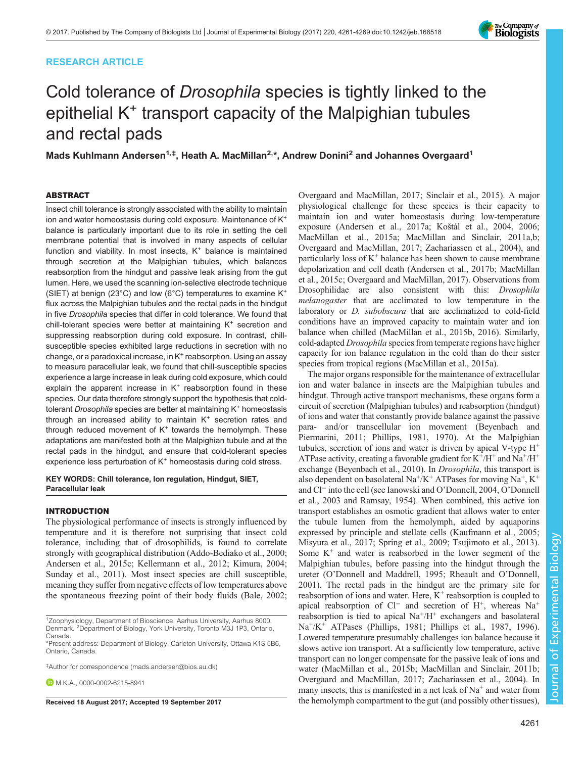# RESEARCH ARTICLE

# Cold tolerance of Drosophila species is tightly linked to the epithelial K<sup>+</sup> transport capacity of the Malpighian tubules and rectal pads

Mads Kuhlmann Andersen<sup>1,‡</sup>, Heath A. MacMillan<sup>2,</sup>\*, Andrew Donini<sup>2</sup> and Johannes Overgaard<sup>1</sup>

# ABSTRACT

Insect chill tolerance is strongly associated with the ability to maintain ion and water homeostasis during cold exposure. Maintenance of K<sup>+</sup> balance is particularly important due to its role in setting the cell membrane potential that is involved in many aspects of cellular function and viability. In most insects, K<sup>+</sup> balance is maintained through secretion at the Malpighian tubules, which balances reabsorption from the hindgut and passive leak arising from the gut lumen. Here, we used the scanning ion-selective electrode technique (SIET) at benign (23°C) and low (6°C) temperatures to examine K<sup>+</sup> flux across the Malpighian tubules and the rectal pads in the hindgut in five Drosophila species that differ in cold tolerance. We found that chill-tolerant species were better at maintaining K<sup>+</sup> secretion and suppressing reabsorption during cold exposure. In contrast, chillsusceptible species exhibited large reductions in secretion with no change, or a paradoxical increase, in K<sup>+</sup> reabsorption. Using an assay to measure paracellular leak, we found that chill-susceptible species experience a large increase in leak during cold exposure, which could explain the apparent increase in  $K^+$  reabsorption found in these species. Our data therefore strongly support the hypothesis that coldtolerant Drosophila species are better at maintaining K<sup>+</sup> homeostasis through an increased ability to maintain K<sup>+</sup> secretion rates and through reduced movement of  $K^+$  towards the hemolymph. These adaptations are manifested both at the Malpighian tubule and at the rectal pads in the hindgut, and ensure that cold-tolerant species experience less perturbation of K<sup>+</sup> homeostasis during cold stress.

KEY WORDS: Chill tolerance, Ion regulation, Hindgut, SIET, Paracellular leak

# INTRODUCTION

The physiological performance of insects is strongly influenced by temperature and it is therefore not surprising that insect cold tolerance, including that of drosophilids, is found to correlate strongly with geographical distribution [\(Addo-Bediako et al., 2000](#page-7-0); [Andersen et al., 2015c](#page-7-0); [Kellermann et al., 2012](#page-8-0); [Kimura, 2004](#page-8-0); [Sunday et al., 2011\)](#page-8-0). Most insect species are chill susceptible, meaning they suffer from negative effects of low temperatures above the spontaneous freezing point of their body fluids ([Bale, 2002](#page-7-0);

<sup>1</sup>Zoophysiology, Department of Bioscience, Aarhus University, Aarhus 8000, Denmark. <sup>2</sup>Department of Biology, York University, Toronto M3J 1P3, Ontario, Canada.

‡ Author for correspondence ([mads.andersen@bios.au.dk](mailto:mads.andersen@bios.au.dk))

**D.** M. K.A., [0000-0002-6215-8941](http://orcid.org/0000-0002-6215-8941)

[Overgaard and MacMillan, 2017](#page-8-0); [Sinclair et al., 2015\)](#page-8-0). A major physiological challenge for these species is their capacity to maintain ion and water homeostasis during low-temperature exposure [\(Andersen et al., 2017a](#page-7-0); Koš[tál et al., 2004, 2006](#page-8-0); [MacMillan et al., 2015a](#page-8-0); [MacMillan and Sinclair, 2011a](#page-8-0),[b](#page-8-0); [Overgaard and MacMillan, 2017; Zachariassen et al., 2004](#page-8-0)), and particularly loss of  $K^+$  balance has been shown to cause membrane depolarization and cell death ([Andersen et al., 2017b;](#page-7-0) [MacMillan](#page-8-0) [et al., 2015c](#page-8-0); [Overgaard and MacMillan, 2017](#page-8-0)). Observations from Drosophilidae are also consistent with this: Drosophila melanogaster that are acclimated to low temperature in the laboratory or D. subobscura that are acclimatized to cold-field conditions have an improved capacity to maintain water and ion balance when chilled ([MacMillan et al., 2015b, 2016](#page-8-0)). Similarly, cold-adapted Drosophila species from temperate regions have higher capacity for ion balance regulation in the cold than do their sister species from tropical regions ([MacMillan et al., 2015a\)](#page-8-0).

The major organs responsible for the maintenance of extracellular ion and water balance in insects are the Malpighian tubules and hindgut. Through active transport mechanisms, these organs form a circuit of secretion (Malpighian tubules) and reabsorption (hindgut) of ions and water that constantly provide balance against the passive para- and/or transcellular ion movement [\(Beyenbach and](#page-7-0) [Piermarini, 2011;](#page-7-0) [Phillips, 1981, 1970\)](#page-8-0). At the Malpighian tubules, secretion of ions and water is driven by apical V-type  $H^+$ ATPase activity, creating a favorable gradient for  $K^+/H^+$  and  $Na^+/H^+$ exchange [\(Beyenbach et al., 2010\)](#page-7-0). In *Drosophila*, this transport is also dependent on basolateral Na<sup>+</sup>/K<sup>+</sup> ATPases for moving Na<sup>+</sup>, K<sup>+</sup> and Cl<sup>−</sup> into the cell (see [Ianowski and O](#page-7-0)'Donnell, 2004, O'[Donnell](#page-8-0) [et al., 2003](#page-8-0) and [Ramsay, 1954](#page-8-0)). When combined, this active ion transport establishes an osmotic gradient that allows water to enter the tubule lumen from the hemolymph, aided by aquaporins expressed by principle and stellate cells [\(Kaufmann et al., 2005](#page-7-0); [Misyura et al., 2017; Spring et al., 2009](#page-8-0); [Tsujimoto et al., 2013\)](#page-8-0). Some  $K^+$  and water is reabsorbed in the lower segment of the Malpighian tubules, before passing into the hindgut through the ureter (O'[Donnell and Maddrell, 1995](#page-8-0); [Rheault and O](#page-8-0)'Donnell, [2001\)](#page-8-0). The rectal pads in the hindgut are the primary site for reabsorption of ions and water. Here,  $K^+$  reabsorption is coupled to apical reabsorption of Cl<sup>−</sup> and secretion of H<sup>+</sup>, whereas Na<sup>+</sup> reabsorption is tied to apical  $Na^+/H^+$  exchangers and basolateral Na+/K+ ATPases ([Phillips, 1981](#page-8-0); [Phillips et al., 1987, 1996\)](#page-8-0). Lowered temperature presumably challenges ion balance because it slows active ion transport. At a sufficiently low temperature, active transport can no longer compensate for the passive leak of ions and water [\(MacMillan et al., 2015b; MacMillan and Sinclair, 2011b](#page-8-0); [Overgaard and MacMillan, 2017; Zachariassen et al., 2004\)](#page-8-0). In many insects, this is manifested in a net leak of  $Na<sup>+</sup>$  and water from Received 18 August 2017; Accepted 19 September 2017 the hemolymph compartment to the gut (and possibly other tissues),



<sup>\*</sup>Present address: Department of Biology, Carleton University, Ottawa K1S 5B6, Ontario, Canada.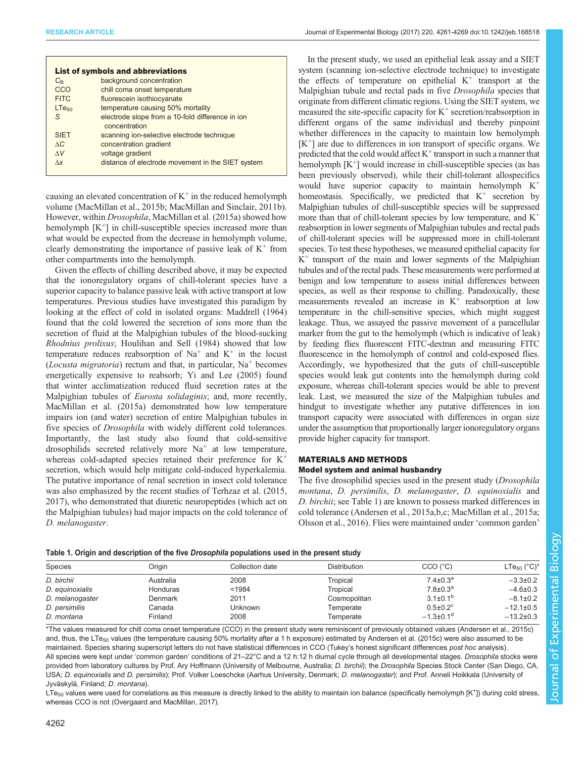<span id="page-1-0"></span>

|                   | <b>List of symbols and abbreviations</b>                          |
|-------------------|-------------------------------------------------------------------|
| $C_{\rm R}$       | background concentration                                          |
| CCO               | chill coma onset temperature                                      |
| <b>FITC</b>       | fluorescein isothiocyanate                                        |
| LT <sub>650</sub> | temperature causing 50% mortality                                 |
| S                 | electrode slope from a 10-fold difference in ion<br>concentration |
| <b>SIET</b>       | scanning ion-selective electrode technique                        |
| AC                | concentration gradient                                            |
| $\Lambda V$       | voltage gradient                                                  |
| $\Lambda x$       | distance of electrode movement in the SIET system                 |

causing an elevated concentration of  $K^+$  in the reduced hemolymph volume ([MacMillan et al., 2015b](#page-8-0); [MacMillan and Sinclair, 2011b\)](#page-8-0). However, within Drosophila, [MacMillan et al. \(2015a\)](#page-8-0) showed how hemolymph  $[K^+]$  in chill-susceptible species increased more than what would be expected from the decrease in hemolymph volume, clearly demonstrating the importance of passive leak of  $K^+$  from other compartments into the hemolymph.

Given the effects of chilling described above, it may be expected that the ionoregulatory organs of chill-tolerant species have a superior capacity to balance passive leak with active transport at low temperatures. Previous studies have investigated this paradigm by looking at the effect of cold in isolated organs: [Maddrell \(1964\)](#page-8-0) found that the cold lowered the secretion of ions more than the secretion of fluid at the Malpighian tubules of the blood-sucking Rhodnius prolixus; [Houlihan and Sell \(1984\)](#page-7-0) showed that low temperature reduces reabsorption of  $Na<sup>+</sup>$  and  $K<sup>+</sup>$  in the locust (*Locusta migratoria*) rectum and that, in particular,  $Na<sup>+</sup>$  becomes energetically expensive to reabsorb; [Yi and Lee \(2005\)](#page-8-0) found that winter acclimatization reduced fluid secretion rates at the Malpighian tubules of *Eurosta solidaginis*; and, more recently, [MacMillan et al. \(2015a\)](#page-8-0) demonstrated how low temperature impairs ion (and water) secretion of entire Malpighian tubules in five species of Drosophila with widely different cold tolerances. Importantly, the last study also found that cold-sensitive drosophilids secreted relatively more  $Na<sup>+</sup>$  at low temperature, whereas cold-adapted species retained their preference for  $K^+$ secretion, which would help mitigate cold-induced hyperkalemia. The putative importance of renal secretion in insect cold tolerance was also emphasized by the recent studies of [Terhzaz et al. \(2015,](#page-8-0) [2017](#page-8-0)), who demonstrated that diuretic neuropeptides (which act on the Malpighian tubules) had major impacts on the cold tolerance of D. melanogaster.

In the present study, we used an epithelial leak assay and a SIET system (scanning ion-selective electrode technique) to investigate the effects of temperature on epithelial  $K^+$  transport at the Malpighian tubule and rectal pads in five Drosophila species that originate from different climatic regions. Using the SIET system, we measured the site-specific capacity for  $K^+$  secretion/reabsorption in different organs of the same individual and thereby pinpoint whether differences in the capacity to maintain low hemolymph  $[K^+]$  are due to differences in ion transport of specific organs. We predicted that the cold would affect  $K^+$  transport in such a manner that hemolymph  $[K^+]$  would increase in chill-susceptible species (as has been previously observed), while their chill-tolerant allospecifics would have superior capacity to maintain hemolymph  $K^+$ homeostasis. Specifically, we predicted that  $K^+$  secretion by Malpighian tubules of chill-susceptible species will be suppressed more than that of chill-tolerant species by low temperature, and  $K^+$ reabsorption in lower segments of Malpighian tubules and rectal pads of chill-tolerant species will be suppressed more in chill-tolerant species. To test these hypotheses, we measured epithelial capacity for  $K^+$  transport of the main and lower segments of the Malpighian tubules and of the rectal pads. These measurements were performed at benign and low temperature to assess initial differences between species, as well as their response to chilling. Paradoxically, these measurements revealed an increase in  $K^+$  reabsorption at low temperature in the chill-sensitive species, which might suggest leakage. Thus, we assayed the passive movement of a paracellular marker from the gut to the hemolymph (which is indicative of leak) by feeding flies fluorescent FITC-dextran and measuring FITC fluorescence in the hemolymph of control and cold-exposed flies. Accordingly, we hypothesized that the guts of chill-susceptible species would leak gut contents into the hemolymph during cold exposure, whereas chill-tolerant species would be able to prevent leak. Last, we measured the size of the Malpighian tubules and hindgut to investigate whether any putative differences in ion transport capacity were associated with differences in organ size under the assumption that proportionally larger ionoregulatory organs provide higher capacity for transport.

# MATERIALS AND METHODS Model system and animal husbandry

The five drosophilid species used in the present study (Drosophila montana, D. persimilis, D. melanogaster, D. equinoxialis and D. birchii; see Table 1) are known to possess marked differences in cold tolerance ([Andersen et al., 2015a,b,c](#page-7-0); [MacMillan et al., 2015a](#page-8-0); [Olsson et al., 2016\)](#page-8-0). Flies were maintained under 'common garden'

| Species         | Oriain    | Collection date | <b>Distribution</b> | CCO('C)                    | LTe <sub>50</sub> ( $^{\circ}$ C) <sup>*</sup> |  |
|-----------------|-----------|-----------------|---------------------|----------------------------|------------------------------------------------|--|
| D. birchii      | Australia | 2008            | Tropical            | $7.4 \pm 0.3^a$            | $-3.3 \pm 0.2$                                 |  |
| D. equinoxialis | Honduras  | < 1984          | Tropical            | $7.8 \pm 0.3^a$            | $-4.6 \pm 0.3$                                 |  |
| D. melanogaster | Denmark   | 2011            | Cosmopolitan        | $3.1 \pm 0.1^{\rm b}$      | $-8.1 \pm 0.2$                                 |  |
| D. persimilis   | Canada    | <b>Unknown</b>  | Temperate           | $0.5 \pm 0.2$ <sup>c</sup> | $-12.1\pm0.5$                                  |  |
| D. montana      | Finland   | 2008            | Temperate           | $-1.3\pm0.1$ <sup>d</sup>  | $-13.2 \pm 0.3$                                |  |

Table 1. Origin and description of the five *Drosophila* populations used in the present study

\*The values measured for chill coma onset temperature (CCO) in the present study were reminiscent of previously obtained values ([Andersen et al., 2015c](#page-7-0)) and, thus, the LTe<sub>50</sub> values (the temperature causing 50% mortality after a 1 h exposure) estimated by [Andersen et al. \(2015c\)](#page-7-0) were also assumed to be maintained. Species sharing superscript letters do not have statistical differences in CCO (Tukey's honest significant differences post hoc analysis). All species were kept under 'common garden' conditions of 21-22°C and a 12 h:12 h diurnal cycle through all developmental stages. Drosophila stocks were provided from laboratory cultures by Prof. Ary Hoffmann (University of Melbourne, Australia; D. birchii); the Drosophila Species Stock Center (San Diego, CA, USA; D. equinoxialis and D. persimilis); Prof. Volker Loeschcke (Aarhus University, Denmark; D. melanogaster); and Prof. Anneli Hoikkala (University of Jyväskylä, Finland; D. montana).

 $LTe_{50}$  values were used for correlations as this measure is directly linked to the ability to maintain ion balance (specifically hemolymph [K<sup>+</sup>]) during cold stress whereas CCO is not [\(Overgaard and MacMillan, 2017\)](#page-8-0).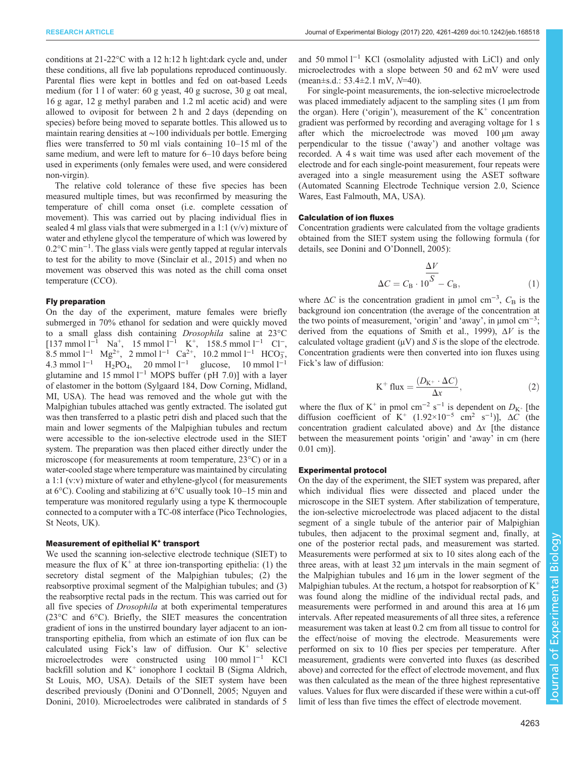conditions at 21-22°C with a 12 h:12 h light:dark cycle and, under these conditions, all five lab populations reproduced continuously. Parental flies were kept in bottles and fed on oat-based Leeds medium (for 1 l of water: 60 g yeast, 40 g sucrose, 30 g oat meal, 16 g agar, 12 g methyl paraben and 1.2 ml acetic acid) and were allowed to oviposit for between 2 h and 2 days (depending on species) before being moved to separate bottles. This allowed us to maintain rearing densities at ∼100 individuals per bottle. Emerging flies were transferred to 50 ml vials containing 10–15 ml of the same medium, and were left to mature for 6–10 days before being used in experiments (only females were used, and were considered non-virgin).

The relative cold tolerance of these five species has been measured multiple times, but was reconfirmed by measuring the temperature of chill coma onset (i.e. complete cessation of movement). This was carried out by placing individual flies in sealed 4 ml glass vials that were submerged in a 1:1  $(v/v)$  mixture of water and ethylene glycol the temperature of which was lowered by 0.2°C min−<sup>1</sup> . The glass vials were gently tapped at regular intervals to test for the ability to move ([Sinclair et al., 2015\)](#page-8-0) and when no movement was observed this was noted as the chill coma onset temperature (CCO).

# Fly preparation

On the day of the experiment, mature females were briefly submerged in 70% ethanol for sedation and were quickly moved to a small glass dish containing Drosophila saline at 23°C  $[137 \text{ mmol } 1^{-1} \text{ Na}^+, 15 \text{ mmol } 1^{-1} \text{ K}^+, 158.5 \text{ mmol } 1^{-1} \text{ Cl}^-,$ 8.5 mmol l<sup>-1</sup> Mg<sup>2+</sup>, 2 mmol l<sup>-1</sup> Ca<sup>2+</sup>, 10.2 mmol l<sup>-1</sup> HCO<sub>3</sub>, 4.3 mmol l<sup>−1</sup> H<sub>2</sub>PO<sub>4</sub>, 20 mmol l<sup>−1</sup> glucose, 10 mmol l<sup>−1</sup> glutamine and 15 mmol  $l^{-1}$  MOPS buffer (pH 7.0)] with a layer of elastomer in the bottom (Sylgaard 184, Dow Corning, Midland, MI, USA). The head was removed and the whole gut with the Malpighian tubules attached was gently extracted. The isolated gut was then transferred to a plastic petri dish and placed such that the main and lower segments of the Malpighian tubules and rectum were accessible to the ion-selective electrode used in the SIET system. The preparation was then placed either directly under the microscope (for measurements at room temperature, 23°C) or in a water-cooled stage where temperature was maintained by circulating a 1:1 (v:v) mixture of water and ethylene-glycol (for measurements at 6°C). Cooling and stabilizing at 6°C usually took 10–15 min and temperature was monitored regularly using a type K thermocouple connected to a computer with a TC-08 interface (Pico Technologies, St Neots, UK).

## Measurement of epithelial K<sup>+</sup> transport

We used the scanning ion-selective electrode technique (SIET) to measure the flux of  $K^+$  at three ion-transporting epithelia: (1) the secretory distal segment of the Malpighian tubules; (2) the reabsorptive proximal segment of the Malpighian tubules; and (3) the reabsorptive rectal pads in the rectum. This was carried out for all five species of Drosophila at both experimental temperatures (23°C and 6°C). Briefly, the SIET measures the concentration gradient of ions in the unstirred boundary layer adjacent to an iontransporting epithelia, from which an estimate of ion flux can be calculated using Fick's law of diffusion. Our  $K^+$  selective microelectrodes were constructed using 100 mmol l−<sup>1</sup> KCl backfill solution and  $K^+$  ionophore I cocktail B (Sigma Aldrich, St Louis, MO, USA). Details of the SIET system have been described previously (Donini and O'[Donnell, 2005;](#page-7-0) [Nguyen and](#page-8-0) [Donini, 2010](#page-8-0)). Microelectrodes were calibrated in standards of 5

and 50 mmol  $l^{-1}$  KCl (osmolality adjusted with LiCl) and only microelectrodes with a slope between 50 and 62 mV were used (mean±s.d.: 53.4±2.1 mV, N=40).

For single-point measurements, the ion-selective microelectrode was placed immediately adjacent to the sampling sites (1  $\mu$ m from the organ). Here ('origin'), measurement of the  $K^+$  concentration gradient was performed by recording and averaging voltage for 1 s after which the microelectrode was moved  $100 \mu m$  away perpendicular to the tissue ('away') and another voltage was recorded. A 4 s wait time was used after each movement of the electrode and for each single-point measurement, four repeats were averaged into a single measurement using the ASET software (Automated Scanning Electrode Technique version 2.0, Science Wares, East Falmouth, MA, USA).

#### Calculation of ion fluxes

Concentration gradients were calculated from the voltage gradients obtained from the SIET system using the following formula (for details, see Donini and O'[Donnell, 2005\):](#page-7-0)

$$
\Delta C = C_{\rm B} \cdot 10^{\overline{S}} - C_{\rm B},\tag{1}
$$

where  $\Delta C$  is the concentration gradient in µmol cm<sup>-3</sup>,  $C_{\rm B}$  is the background ion concentration (the average of the concentration at the two points of measurement, 'origin' and 'away', in μmol cm<sup>-3</sup>; derived from the equations of [Smith et al., 1999\)](#page-8-0),  $\Delta V$  is the calculated voltage gradient  $(\mu V)$  and S is the slope of the electrode. Concentration gradients were then converted into ion fluxes using Fick's law of diffusion:

$$
K^{+} flux = \frac{(D_{K^{+}} \cdot \Delta C)}{\Delta x}, \qquad (2)
$$

where the flux of K<sup>+</sup> in pmol cm<sup>-2</sup> s<sup>-1</sup> is dependent on  $D_{K^+}$  [the diffusion coefficient of K<sup>+</sup> (1.92×10<sup>-5</sup> cm<sup>2</sup> s<sup>-1</sup>)],  $\Delta C$  (the concentration gradient calculated above) and  $\Delta x$  [the distance between the measurement points 'origin' and 'away' in cm (here 0.01 cm)].

## Experimental protocol

On the day of the experiment, the SIET system was prepared, after which individual flies were dissected and placed under the microscope in the SIET system. After stabilization of temperature, the ion-selective microelectrode was placed adjacent to the distal segment of a single tubule of the anterior pair of Malpighian tubules, then adjacent to the proximal segment and, finally, at one of the posterior rectal pads, and measurement was started. Measurements were performed at six to 10 sites along each of the three areas, with at least 32 µm intervals in the main segment of the Malpighian tubules and 16 µm in the lower segment of the Malpighian tubules. At the rectum, a hotspot for reabsorption of  $K^+$ was found along the midline of the individual rectal pads, and measurements were performed in and around this area at 16  $\mu$ m intervals. After repeated measurements of all three sites, a reference measurement was taken at least 0.2 cm from all tissue to control for the effect/noise of moving the electrode. Measurements were performed on six to 10 flies per species per temperature. After measurement, gradients were converted into fluxes (as described above) and corrected for the effect of electrode movement, and flux was then calculated as the mean of the three highest representative values. Values for flux were discarded if these were within a cut-off limit of less than five times the effect of electrode movement.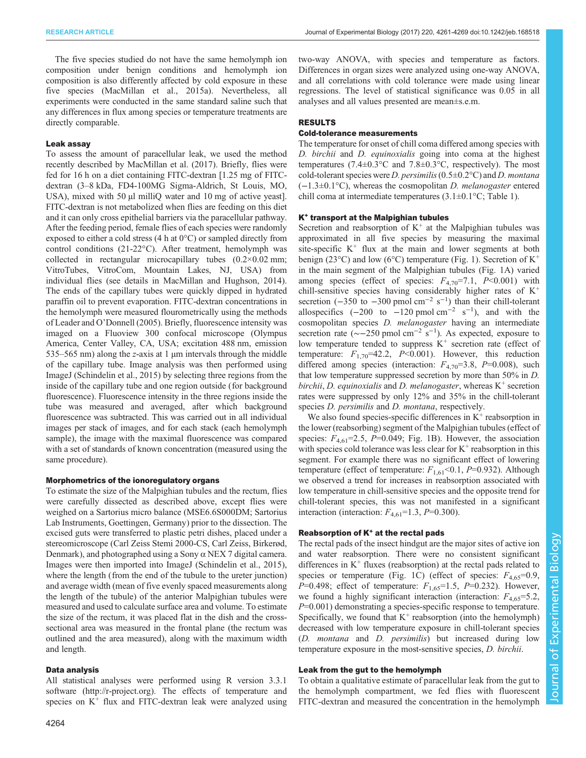The five species studied do not have the same hemolymph ion composition under benign conditions and hemolymph ion composition is also differently affected by cold exposure in these five species [\(MacMillan et al., 2015a\)](#page-8-0). Nevertheless, all experiments were conducted in the same standard saline such that any differences in flux among species or temperature treatments are directly comparable.

# Leak assay

To assess the amount of paracellular leak, we used the method recently described by [MacMillan et al. \(2017\)](#page-8-0). Briefly, flies were fed for 16 h on a diet containing FITC-dextran [1.25 mg of FITCdextran (3–8 kDa, FD4-100MG Sigma-Aldrich, St Louis, MO, USA), mixed with 50 µl milliQ water and 10 mg of active yeast. FITC-dextran is not metabolized when flies are feeding on this diet and it can only cross epithelial barriers via the paracellular pathway. After the feeding period, female flies of each species were randomly exposed to either a cold stress (4 h at 0°C) or sampled directly from control conditions (21-22°C). After treatment, hemolymph was collected in rectangular microcapillary tubes (0.2×0.02 mm; VitroTubes, VitroCom, Mountain Lakes, NJ, USA) from individual flies (see details in [MacMillan and Hughson, 2014\)](#page-8-0). The ends of the capillary tubes were quickly dipped in hydrated paraffin oil to prevent evaporation. FITC-dextran concentrations in the hemolymph were measured flourometrically using the methods of Leader and O'[Donnell \(2005\).](#page-8-0) Briefly, fluorescence intensity was imaged on a Fluoview 300 confocal microscope (Olympus America, Center Valley, CA, USA; excitation 488 nm, emission 535–565 nm) along the z-axis at 1  $\mu$ m intervals through the middle of the capillary tube. Image analysis was then performed using ImageJ ([Schindelin et al., 2015\)](#page-8-0) by selecting three regions from the inside of the capillary tube and one region outside (for background fluorescence). Fluorescence intensity in the three regions inside the tube was measured and averaged, after which background fluorescence was subtracted. This was carried out in all individual images per stack of images, and for each stack (each hemolymph sample), the image with the maximal fluorescence was compared with a set of standards of known concentration (measured using the same procedure).

## Morphometrics of the ionoregulatory organs

To estimate the size of the Malpighian tubules and the rectum, flies were carefully dissected as described above, except flies were weighed on a Sartorius micro balance (MSE6.6S000DM; Sartorius Lab Instruments, Goettingen, Germany) prior to the dissection. The excised guts were transferred to plastic petri dishes, placed under a stereomicroscope (Carl Zeiss Stemi 2000-CS, Carl Zeiss, Birkerød, Denmark), and photographed using a Sony  $\alpha$  NEX 7 digital camera. Images were then imported into ImageJ [\(Schindelin et al., 2015\)](#page-8-0), where the length (from the end of the tubule to the ureter junction) and average width (mean of five evenly spaced measurements along the length of the tubule) of the anterior Malpighian tubules were measured and used to calculate surface area and volume. To estimate the size of the rectum, it was placed flat in the dish and the crosssectional area was measured in the frontal plane (the rectum was outlined and the area measured), along with the maximum width and length.

## Data analysis

All statistical analyses were performed using R version 3.3.1 software [\(http://r-project.org\)](http://r-project.org). The effects of temperature and species on  $K^+$  flux and FITC-dextran leak were analyzed using two-way ANOVA, with species and temperature as factors. Differences in organ sizes were analyzed using one-way ANOVA, and all correlations with cold tolerance were made using linear regressions. The level of statistical significance was 0.05 in all analyses and all values presented are mean±s.e.m.

#### RESULTS

## Cold-tolerance measurements

The temperature for onset of chill coma differed among species with D. birchii and D. equinoxialis going into coma at the highest temperatures (7.4 $\pm$ 0.3°C and 7.8 $\pm$ 0.3°C, respectively). The most cold-tolerant species were *D. persimilis* (0.5 $\pm$ 0.2°C) and *D. montana* (−1.3±0.1°C), whereas the cosmopolitan D. melanogaster entered chill coma at intermediate temperatures  $(3.1 \pm 0.1 \degree C;$  [Table 1\)](#page-1-0).

#### K<sup>+</sup> transport at the Malpighian tubules

Secretion and reabsorption of  $K^+$  at the Malpighian tubules was approximated in all five species by measuring the maximal site-specific  $K^+$  flux at the main and lower segments at both benign (23 $^{\circ}$ C) and low (6 $^{\circ}$ C) temperature ([Fig. 1\)](#page-4-0). Secretion of K<sup>+</sup> in the main segment of the Malpighian tubules ([Fig. 1A](#page-4-0)) varied among species (effect of species:  $F_{4,70}$ =7.1,  $P$  < 0.001) with chill-sensitive species having considerably higher rates of  $K^+$ secretion  $(-350 \text{ to } -300 \text{ pmol cm}^{-2} \text{ s}^{-1})$  than their chill-tolerant allospecifics  $(-200 \text{ to } -120 \text{ pmol cm}^{-2} \text{ s}^{-1})$ , and with the cosmopolitan species D. melanogaster having an intermediate secretion rate ( $\sim$ -250 pmol cm<sup>-2</sup> s<sup>-1</sup>). As expected, exposure to low temperature tended to suppress  $K^+$  secretion rate (effect of temperature:  $F_{1,70}$ =42.2,  $P<0.001$ ). However, this reduction differed among species (interaction:  $F_{4,70}$ =3.8, P=0.008), such that low temperature suppressed secretion by more than 50% in D. birchii, D. equinoxialis and D. melanogaster, whereas  $K^+$  secretion rates were suppressed by only 12% and 35% in the chill-tolerant species *D. persimilis* and *D. montana*, respectively.

We also found species-specific differences in  $K^+$  reabsorption in the lower (reabsorbing) segment of the Malpighian tubules (effect of species:  $F_{4,61}$ =2.5, P=0.049; [Fig. 1B](#page-4-0)). However, the association with species cold tolerance was less clear for  $K^+$  reabsorption in this segment. For example there was no significant effect of lowering temperature (effect of temperature:  $F_{1,61}$ <0.1,  $P$ =0.932). Although we observed a trend for increases in reabsorption associated with low temperature in chill-sensitive species and the opposite trend for chill-tolerant species, this was not manifested in a significant interaction (interaction:  $F_{4,61}$ =1.3, P=0.300).

#### Reabsorption of  $K^+$  at the rectal pads

The rectal pads of the insect hindgut are the major sites of active ion and water reabsorption. There were no consistent significant differences in  $K^+$  fluxes (reabsorption) at the rectal pads related to species or temperature ([Fig. 1](#page-4-0)C) (effect of species:  $F_{4,65}=0.9$ ,  $P=0.498$ ; effect of temperature:  $F_{1,65}=1.5$ ,  $P=0.232$ ). However, we found a highly significant interaction (interaction:  $F_{4,65} = 5.2$ ,  $P=0.001$ ) demonstrating a species-specific response to temperature. Specifically, we found that  $K^+$  reabsorption (into the hemolymph) decreased with low temperature exposure in chill-tolerant species (D. montana and D. persimilis) but increased during low temperature exposure in the most-sensitive species, D. birchii.

## Leak from the gut to the hemolymph

To obtain a qualitative estimate of paracellular leak from the gut to the hemolymph compartment, we fed flies with fluorescent FITC-dextran and measured the concentration in the hemolymph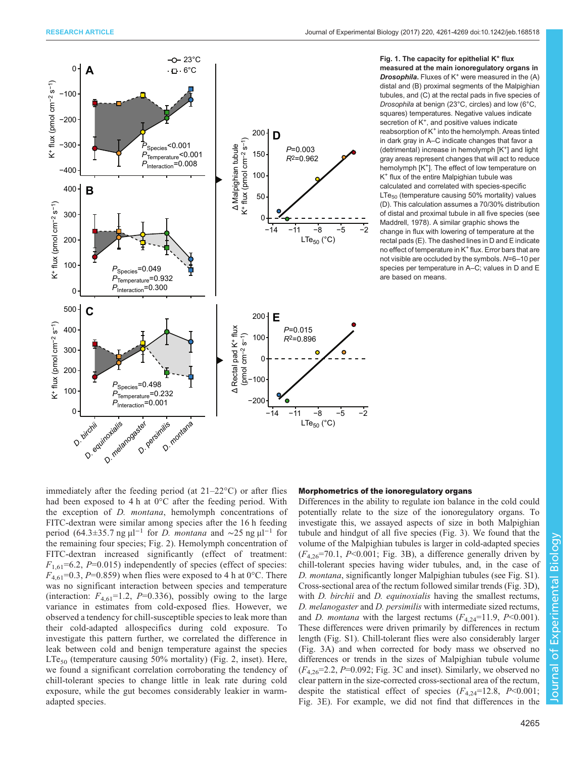<span id="page-4-0"></span>

Fig. 1. The capacity for epithelial  $K^+$  flux measured at the main ionoregulatory organs in **Drosophila.** Fluxes of  $K^+$  were measured in the  $(A)$ distal and (B) proximal segments of the Malpighian tubules, and (C) at the rectal pads in five species of Drosophila at benign (23°C, circles) and low (6°C, squares) temperatures. Negative values indicate secretion of K<sup>+</sup>, and positive values indicate reabsorption of K<sup>+</sup> into the hemolymph. Areas tinted in dark gray in A–C indicate changes that favor a (detrimental) increase in hemolymph  $[K^+]$  and light gray areas represent changes that will act to reduce hemolymph [K<sup>+</sup>]. The effect of low temperature on K<sup>+</sup> flux of the entire Malpighian tubule was calculated and correlated with species-specific  $LTe<sub>50</sub>$  (temperature causing 50% mortality) values (D). This calculation assumes a 70/30% distribution of distal and proximal tubule in all five species (see [Maddrell, 1978](#page-8-0)). A similar graphic shows the change in flux with lowering of temperature at the rectal pads (E). The dashed lines in D and E indicate no effect of temperature in K<sup>+</sup> flux. Error bars that are not visible are occluded by the symbols. N=6–10 per species per temperature in A–C; values in D and E are based on means.

immediately after the feeding period (at 21–22°C) or after flies had been exposed to 4 h at 0<sup>o</sup>C after the feeding period. With the exception of D. montana, hemolymph concentrations of FITC-dextran were similar among species after the 16 h feeding period (64.3±35.7 ng  $\mu$ l<sup>-1</sup> for *D. montana* and ∼25 ng  $\mu$ l<sup>-1</sup> for the remaining four species; [Fig. 2](#page-5-0)). Hemolymph concentration of FITC-dextran increased significantly (effect of treatment:  $F_{1,61}$ =6.2, P=0.015) independently of species (effect of species:  $F_{4,61}$ =0.3, P=0.859) when flies were exposed to 4 h at 0°C. There was no significant interaction between species and temperature (interaction:  $F_{4,61}$ =1.2, P=0.336), possibly owing to the large variance in estimates from cold-exposed flies. However, we observed a tendency for chill-susceptible species to leak more than their cold-adapted allospecifics during cold exposure. To investigate this pattern further, we correlated the difference in leak between cold and benign temperature against the species  $LTe_{50}$  (temperature causing 50% mortality) [\(Fig. 2,](#page-5-0) inset). Here, we found a significant correlation corroborating the tendency of chill-tolerant species to change little in leak rate during cold exposure, while the gut becomes considerably leakier in warmadapted species.

# Morphometrics of the ionoregulatory organs

Differences in the ability to regulate ion balance in the cold could potentially relate to the size of the ionoregulatory organs. To investigate this, we assayed aspects of size in both Malpighian tubule and hindgut of all five species ([Fig. 3](#page-6-0)). We found that the volume of the Malpighian tubules is larger in cold-adapted species  $(F_{4,26} = 70.1, P \le 0.001$ ; [Fig. 3B](#page-6-0)), a difference generally driven by chill-tolerant species having wider tubules, and, in the case of D. montana, significantly longer Malpighian tubules (see [Fig. S1\)](http://jeb.biologists.org/lookup/doi/10.1242/jeb.168518.supplemental). Cross-sectional area of the rectum followed similar trends [\(Fig. 3D](#page-6-0)), with *D. birchii* and *D. equinoxialis* having the smallest rectums, D. melanogaster and D. persimilis with intermediate sized rectums, and D. montana with the largest rectums  $(F_{4,24}=11.9, P<0.001)$ . These differences were driven primarily by differences in rectum length ([Fig. S1](http://jeb.biologists.org/lookup/doi/10.1242/jeb.168518.supplemental)). Chill-tolerant flies were also considerably larger [\(Fig. 3A](#page-6-0)) and when corrected for body mass we observed no differences or trends in the sizes of Malpighian tubule volume  $(F_{4,26}=2.2, P=0.092; Fig. 3C and inset)$  $(F_{4,26}=2.2, P=0.092; Fig. 3C and inset)$  $(F_{4,26}=2.2, P=0.092; Fig. 3C and inset)$ . Similarly, we observed no clear pattern in the size-corrected cross-sectional area of the rectum, despite the statistical effect of species  $(F_{4,24}=12.8, P<0.001;$ [Fig. 3](#page-6-0)E). For example, we did not find that differences in the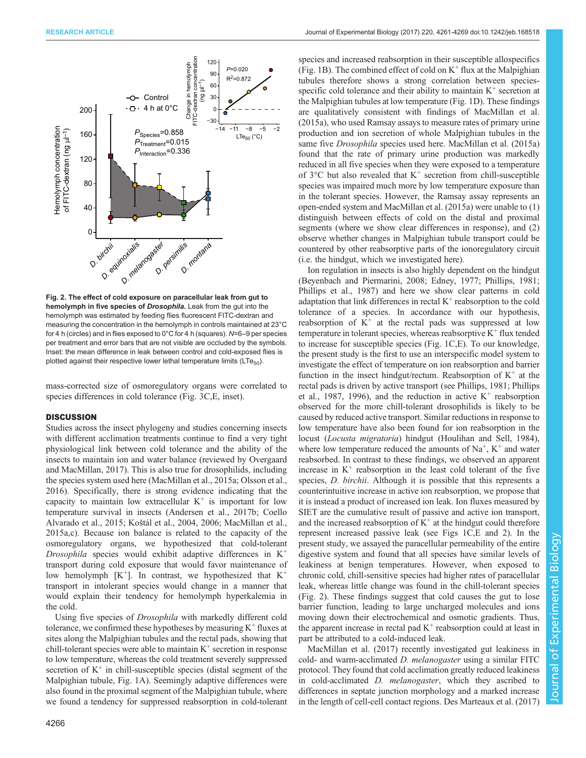<span id="page-5-0"></span>

Fig. 2. The effect of cold exposure on paracellular leak from gut to hemolymph in five species of Drosophila. Leak from the gut into the hemolymph was estimated by feeding flies fluorescent FITC-dextran and measuring the concentration in the hemolymph in controls maintained at 23°C for 4 h (circles) and in flies exposed to 0°C for 4 h (squares). N=6–9 per species per treatment and error bars that are not visible are occluded by the symbols. Inset: the mean difference in leak between control and cold-exposed flies is plotted against their respective lower lethal temperature limits ( $LTe_{50}$ ).

mass-corrected size of osmoregulatory organs were correlated to species differences in cold tolerance ([Fig. 3](#page-6-0)C,E, inset).

#### **DISCUSSION**

Studies across the insect phylogeny and studies concerning insects with different acclimation treatments continue to find a very tight physiological link between cold tolerance and the ability of the insects to maintain ion and water balance (reviewed by [Overgaard](#page-8-0) [and MacMillan, 2017\)](#page-8-0). This is also true for drosophilids, including the species system used here [\(MacMillan et al., 2015a](#page-8-0); [Olsson et al.,](#page-8-0) [2016](#page-8-0)). Specifically, there is strong evidence indicating that the capacity to maintain low extracellular  $K^+$  is important for low temperature survival in insects [\(Andersen et al., 2017b; Coello](#page-7-0) [Alvarado et al., 2015;](#page-7-0) Koš[tál et al., 2004, 2006; MacMillan et al.,](#page-8-0) [2015a](#page-8-0),[c\)](#page-8-0). Because ion balance is related to the capacity of the osmoregulatory organs, we hypothesized that cold-tolerant Drosophila species would exhibit adaptive differences in  $K^+$ transport during cold exposure that would favor maintenance of low hemolymph  $[K^+]$ . In contrast, we hypothesized that  $K^+$ transport in intolerant species would change in a manner that would explain their tendency for hemolymph hyperkalemia in the cold.

Using five species of Drosophila with markedly different cold tolerance, we confirmed these hypotheses by measuring  $K^+$  fluxes at sites along the Malpighian tubules and the rectal pads, showing that chill-tolerant species were able to maintain  $K^+$  secretion in response to low temperature, whereas the cold treatment severely suppressed secretion of  $K^+$  in chill-susceptible species (distal segment of the Malpighian tubule, [Fig. 1A](#page-4-0)). Seemingly adaptive differences were also found in the proximal segment of the Malpighian tubule, where we found a tendency for suppressed reabsorption in cold-tolerant

species and increased reabsorption in their susceptible allospecifics [\(Fig. 1B](#page-4-0)). The combined effect of cold on  $K^+$  flux at the Malpighian tubules therefore shows a strong correlation between speciesspecific cold tolerance and their ability to maintain  $K^+$  secretion at the Malpighian tubules at low temperature [\(Fig. 1D](#page-4-0)). These findings are qualitatively consistent with findings of [MacMillan et al.](#page-8-0) [\(2015a\)](#page-8-0), who used Ramsay assays to measure rates of primary urine production and ion secretion of whole Malpighian tubules in the same five Drosophila species used here. [MacMillan et al. \(2015a\)](#page-8-0) found that the rate of primary urine production was markedly reduced in all five species when they were exposed to a temperature of  $3^{\circ}$ C but also revealed that  $K^+$  secretion from chill-susceptible species was impaired much more by low temperature exposure than in the tolerant species. However, the Ramsay assay represents an open-ended system and [MacMillan et al. \(2015a\)](#page-8-0) were unable to (1) distinguish between effects of cold on the distal and proximal segments (where we show clear differences in response), and (2) observe whether changes in Malpighian tubule transport could be countered by other reabsorptive parts of the ionoregulatory circuit (i.e. the hindgut, which we investigated here).

Ion regulation in insects is also highly dependent on the hindgut [\(Beyenbach and Piermarini, 2008; Edney, 1977](#page-7-0); [Phillips, 1981](#page-8-0); [Phillips et al., 1987](#page-8-0)) and here we show clear patterns in cold adaptation that link differences in rectal  $K^+$  reabsorption to the cold tolerance of a species. In accordance with our hypothesis, reabsorption of  $K^+$  at the rectal pads was suppressed at low temperature in tolerant species, whereas reabsorptive  $K^+$  flux tended to increase for susceptible species ([Fig. 1](#page-4-0)C,E). To our knowledge, the present study is the first to use an interspecific model system to investigate the effect of temperature on ion reabsorption and barrier function in the insect hindgut/rectum. Reabsorption of  $K^+$  at the rectal pads is driven by active transport (see [Phillips, 1981; Phillips](#page-8-0) [et al., 1987, 1996\),](#page-8-0) and the reduction in active  $K^+$  reabsorption observed for the more chill-tolerant drosophilids is likely to be caused by reduced active transport. Similar reductions in response to low temperature have also been found for ion reabsorption in the locust (Locusta migratoria) hindgut ([Houlihan and Sell, 1984\)](#page-7-0), where low temperature reduced the amounts of  $Na<sup>+</sup>$ ,  $K<sup>+</sup>$  and water reabsorbed. In contrast to these findings, we observed an apparent increase in  $K^+$  reabsorption in the least cold tolerant of the five species, *D. birchii.* Although it is possible that this represents a counterintuitive increase in active ion reabsorption, we propose that it is instead a product of increased ion leak. Ion fluxes measured by SIET are the cumulative result of passive and active ion transport, and the increased reabsorption of  $K^+$  at the hindgut could therefore represent increased passive leak (see [Figs 1](#page-4-0)C,E and 2). In the present study, we assayed the paracellular permeability of the entire digestive system and found that all species have similar levels of leakiness at benign temperatures. However, when exposed to chronic cold, chill-sensitive species had higher rates of paracellular leak, whereas little change was found in the chill-tolerant species (Fig. 2). These findings suggest that cold causes the gut to lose barrier function, leading to large uncharged molecules and ions moving down their electrochemical and osmotic gradients. Thus, the apparent increase in rectal pad  $K^+$  reabsorption could at least in part be attributed to a cold-induced leak.

[MacMillan et al. \(2017\)](#page-8-0) recently investigated gut leakiness in cold- and warm-acclimated *D. melanogaster* using a similar FITC protocol. They found that cold acclimation greatly reduced leakiness in cold-acclimated D. melanogaster, which they ascribed to differences in septate junction morphology and a marked increase in the length of cell-cell contact regions. [Des Marteaux et al. \(2017\)](#page-7-0)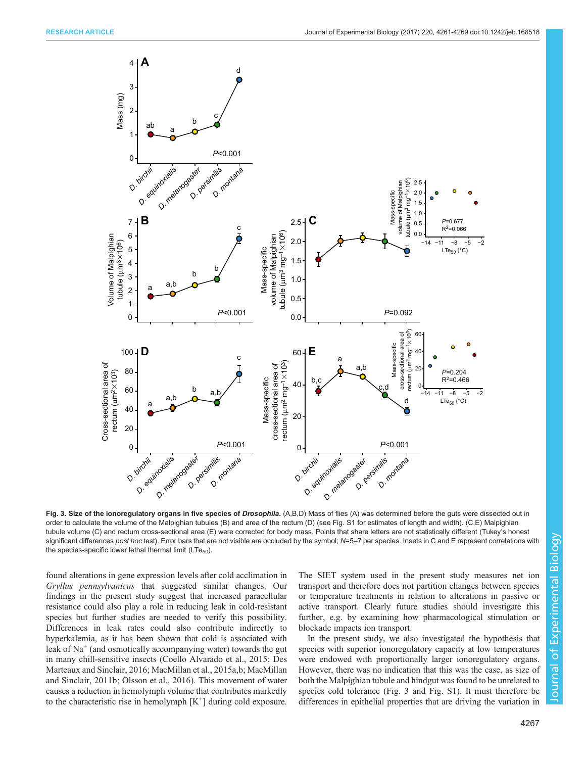<span id="page-6-0"></span>

Fig. 3. Size of the ionoregulatory organs in five species of Drosophila. (A,B,D) Mass of flies (A) was determined before the guts were dissected out in order to calculate the volume of the Malpighian tubules (B) and area of the rectum (D) (see [Fig. S1](http://jeb.biologists.org/lookup/doi/10.1242/jeb.168518.supplemental) for estimates of length and width). (C,E) Malpighian tubule volume (C) and rectum cross-sectional area (E) were corrected for body mass. Points that share letters are not statistically different (Tukey's honest significant differences post hoc test). Error bars that are not visible are occluded by the symbol; N=5–7 per species. Insets in C and E represent correlations with the species-specific lower lethal thermal limit  $(LTe_{50})$ .

found alterations in gene expression levels after cold acclimation in Gryllus pennsylvanicus that suggested similar changes. Our findings in the present study suggest that increased paracellular resistance could also play a role in reducing leak in cold-resistant species but further studies are needed to verify this possibility. Differences in leak rates could also contribute indirectly to hyperkalemia, as it has been shown that cold is associated with leak of  $Na<sup>+</sup>$  (and osmotically accompanying water) towards the gut in many chill-sensitive insects ([Coello Alvarado et al., 2015; Des](#page-7-0) [Marteaux and Sinclair, 2016;](#page-7-0) [MacMillan et al., 2015a,b; MacMillan](#page-8-0) [and Sinclair, 2011b](#page-8-0); [Olsson et al., 2016](#page-8-0)). This movement of water causes a reduction in hemolymph volume that contributes markedly to the characteristic rise in hemolymph  $[K^+]$  during cold exposure.

The SIET system used in the present study measures net ion transport and therefore does not partition changes between species or temperature treatments in relation to alterations in passive or active transport. Clearly future studies should investigate this further, e.g. by examining how pharmacological stimulation or blockade impacts ion transport.

In the present study, we also investigated the hypothesis that species with superior ionoregulatory capacity at low temperatures were endowed with proportionally larger ionoregulatory organs. However, there was no indication that this was the case, as size of both the Malpighian tubule and hindgut was found to be unrelated to species cold tolerance (Fig. 3 and [Fig. S1](http://jeb.biologists.org/lookup/doi/10.1242/jeb.168518.supplemental)). It must therefore be differences in epithelial properties that are driving the variation in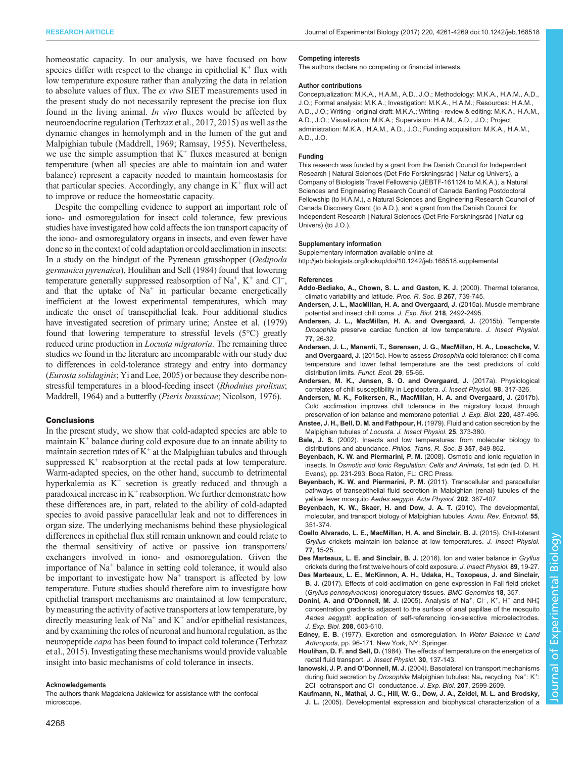<span id="page-7-0"></span>homeostatic capacity. In our analysis, we have focused on how species differ with respect to the change in epithelial  $K^+$  flux with low temperature exposure rather than analyzing the data in relation to absolute values of flux. The ex vivo SIET measurements used in the present study do not necessarily represent the precise ion flux found in the living animal. In vivo fluxes would be affected by neuroendocrine regulation ([Terhzaz et al., 2017](#page-8-0), [2015\)](#page-8-0) as well as the dynamic changes in hemolymph and in the lumen of the gut and Malpighian tubule [\(Maddrell, 1969; Ramsay, 1955](#page-8-0)). Nevertheless, we use the simple assumption that  $K^+$  fluxes measured at benign temperature (when all species are able to maintain ion and water balance) represent a capacity needed to maintain homeostasis for that particular species. Accordingly, any change in  $K^+$  flux will act to improve or reduce the homeostatic capacity.

Despite the compelling evidence to support an important role of iono- and osmoregulation for insect cold tolerance, few previous studies have investigated how cold affects the ion transport capacity of the iono- and osmoregulatory organs in insects, and even fewer have done so in the context of cold adaptation or cold acclimation in insects: In a study on the hindgut of the Pyrenean grasshopper (Oedipoda germanica pyrenaica), Houlihan and Sell (1984) found that lowering temperature generally suppressed reabsorption of  $Na^+$ ,  $K^+$  and Cl<sup>-</sup>, and that the uptake of  $Na<sup>+</sup>$  in particular became energetically inefficient at the lowest experimental temperatures, which may indicate the onset of transepithelial leak. Four additional studies have investigated secretion of primary urine; Anstee et al. (1979) found that lowering temperature to stressful levels (5°C) greatly reduced urine production in *Locusta migratoria*. The remaining three studies we found in the literature are incomparable with our study due to differences in cold-tolerance strategy and entry into dormancy (Eurosta solidaginis; [Yi and Lee, 2005](#page-8-0)) or because they describe nonstressful temperatures in a blood-feeding insect (Rhodnius prolixus; [Maddrell, 1964\)](#page-8-0) and a butterfly (Pieris brassicae; [Nicolson, 1976](#page-8-0)).

#### Conclusions

In the present study, we show that cold-adapted species are able to maintain  $K^+$  balance during cold exposure due to an innate ability to maintain secretion rates of  $K^+$  at the Malpighian tubules and through suppressed  $K^+$  reabsorption at the rectal pads at low temperature. Warm-adapted species, on the other hand, succumb to detrimental hyperkalemia as  $K^+$  secretion is greatly reduced and through a paradoxical increase in  $K^+$  reabsorption. We further demonstrate how these differences are, in part, related to the ability of cold-adapted species to avoid passive paracellular leak and not to differences in organ size. The underlying mechanisms behind these physiological differences in epithelial flux still remain unknown and could relate to the thermal sensitivity of active or passive ion transporters/ exchangers involved in iono- and osmoregulation. Given the importance of  $Na<sup>+</sup>$  balance in setting cold tolerance, it would also be important to investigate how  $Na<sup>+</sup>$  transport is affected by low temperature. Future studies should therefore aim to investigate how epithelial transport mechanisms are maintained at low temperature, by measuring the activity of active transporters at low temperature, by directly measuring leak of  $Na<sup>+</sup>$  and  $K<sup>+</sup>$  and/or epithelial resistances, and by examining the roles of neuronal and humoral regulation, as the neuropeptide *capa* has been found to impact cold tolerance [\(Terhzaz](#page-8-0) [et al., 2015](#page-8-0)). Investigating these mechanisms would provide valuable insight into basic mechanisms of cold tolerance in insects.

#### Acknowledgements

The authors thank Magdalena Jaklewicz for assistance with the confocal microscope.

#### Competing interests

The authors declare no competing or financial interests.

#### Author contributions

Conceptualization: M.K.A., H.A.M., A.D., J.O.; Methodology: M.K.A., H.A.M., A.D., J.O.; Formal analysis: M.K.A.; Investigation: M.K.A., H.A.M.; Resources: H.A.M., A.D., J.O.; Writing - original draft: M.K.A.; Writing - review & editing: M.K.A., H.A.M., A.D., J.O.; Visualization: M.K.A.; Supervision: H.A.M., A.D., J.O.; Project administration: M.K.A., H.A.M., A.D., J.O.; Funding acquisition: M.K.A., H.A.M., A.D., J.O.

#### Funding

This research was funded by a grant from the Danish Council for Independent Research | Natural Sciences (Det Frie Forskningsråd | Natur og Univers), a Company of Biologists Travel Fellowship (JEBTF-161124 to M.K.A.), a Natural Sciences and Engineering Research Council of Canada Banting Postdoctoral Fellowship (to H.A.M.), a Natural Sciences and Engineering Research Council of Canada Discovery Grant (to A.D.), and a grant from the Danish Council for Independent Research | Natural Sciences (Det Frie Forskningsråd | Natur og Univers) (to J.O.).

#### Supplementary information

Supplementary information available online at <http://jeb.biologists.org/lookup/doi/10.1242/jeb.168518.supplemental>

#### References

- [Addo-Bediako, A., Chown, S. L. and Gaston, K. J.](http://dx.doi.org/10.1098/rspb.2000.1065) (2000). Thermal tolerance, [climatic variability and latitude.](http://dx.doi.org/10.1098/rspb.2000.1065) Proc. R. Soc. B 267, 739-745.
- [Andersen, J. L., MacMillan, H. A. and Overgaard, J.](http://dx.doi.org/10.1242/jeb.123760) (2015a). Muscle membrane [potential and insect chill coma.](http://dx.doi.org/10.1242/jeb.123760) J. Exp. Biol. 218, 2492-2495.
- [Andersen, J. L., MacMillan, H. A. and Overgaard, J.](http://dx.doi.org/10.1016/j.jinsphys.2015.03.016) (2015b). Temperate Drosophila [preserve cardiac function at low temperature.](http://dx.doi.org/10.1016/j.jinsphys.2015.03.016) J. Insect Physiol. 77[, 26-32.](http://dx.doi.org/10.1016/j.jinsphys.2015.03.016)
- [Andersen, J. L., Manenti, T., Sørensen, J. G., MacMillan, H. A., Loeschcke, V.](http://dx.doi.org/10.1111/1365-2435.12310) and Overgaard, J. (2015c). How to assess Drosophila [cold tolerance: chill coma](http://dx.doi.org/10.1111/1365-2435.12310) [temperature and lower lethal temperature are the best predictors of cold](http://dx.doi.org/10.1111/1365-2435.12310) [distribution limits.](http://dx.doi.org/10.1111/1365-2435.12310) Funct. Ecol. 29, 55-65.
- [Andersen, M. K., Jensen, S. O. and Overgaard, J.](http://dx.doi.org/10.1016/j.jinsphys.2017.02.002) (2017a). Physiological [correlates of chill susceptibility in Lepidoptera.](http://dx.doi.org/10.1016/j.jinsphys.2017.02.002) J. Insect Physiol. 98, 317-326.
- [Andersen, M. K., Folkersen, R., MacMillan, H. A. and Overgaard, J.](http://dx.doi.org/10.1242/jeb.150813) (2017b). [Cold acclimation improves chill tolerance in the migratory locust through](http://dx.doi.org/10.1242/jeb.150813) [preservation of ion balance and membrane potential.](http://dx.doi.org/10.1242/jeb.150813) J. Exp. Biol. 220, 487-496.
- [Anstee, J. H., Bell, D. M. and Fathpour, H.](http://dx.doi.org/10.1016/0022-1910(79)90002-7) (1979). Fluid and cation secretion by the [Malpighian tubules of](http://dx.doi.org/10.1016/0022-1910(79)90002-7) Locusta. J. Insect Physiol. 25, 373-380.
- Bale, J. S. [\(2002\). Insects and low temperatures: from molecular biology to](http://dx.doi.org/10.1098/rstb.2002.1074) [distributions and abundance.](http://dx.doi.org/10.1098/rstb.2002.1074) Philos. Trans. R. Soc. B 357, 849-862.
- Beyenbach, K. W. and Piermarini, P. M. (2008). Osmotic and ionic regulation in insects. In Osmotic and Ionic Regulation: Cells and Animals, 1st edn (ed. D. H. Evans), pp. 231-293. Boca Raton, FL: CRC Press.
- [Beyenbach, K. W. and Piermarini, P. M.](http://dx.doi.org/10.1111/j.1748-1716.2010.02195.x) (2011). Transcellular and paracellular [pathways of transepithelial fluid secretion in Malpighian \(renal\) tubules of the](http://dx.doi.org/10.1111/j.1748-1716.2010.02195.x) [yellow fever mosquito](http://dx.doi.org/10.1111/j.1748-1716.2010.02195.x) Aedes aegypti. Acta Physiol. 202, 387-407.
- [Beyenbach, K. W., Skaer, H. and Dow, J. A. T.](http://dx.doi.org/10.1146/annurev-ento-112408-085512) (2010). The developmental, [molecular, and transport biology of Malpighian tubules.](http://dx.doi.org/10.1146/annurev-ento-112408-085512) Annu. Rev. Entomol. 55, [351-374.](http://dx.doi.org/10.1146/annurev-ento-112408-085512)
- [Coello Alvarado, L. E., MacMillan, H. A. and Sinclair, B. J.](http://dx.doi.org/10.1016/j.jinsphys.2015.03.015) (2015). Chill-tolerant Gryllus [crickets maintain ion balance at low temperatures.](http://dx.doi.org/10.1016/j.jinsphys.2015.03.015) J. Insect Physiol. 77[, 15-25.](http://dx.doi.org/10.1016/j.jinsphys.2015.03.015)
- [Des Marteaux, L. E. and Sinclair, B. J.](http://dx.doi.org/10.1016/j.jinsphys.2016.03.007) (2016). Ion and water balance in Gryllus [crickets during the first twelve hours of cold exposure.](http://dx.doi.org/10.1016/j.jinsphys.2016.03.007) J. Insect Physiol. 89, 19-27.
- [Des Marteaux, L. E., McKinnon, A. H., Udaka, H., Toxopeus, J. and Sinclair,](http://dx.doi.org/10.1186/s12864-017-3711-9) B. J. [\(2017\). Effects of cold-acclimation on gene expression in Fall field cricket](http://dx.doi.org/10.1186/s12864-017-3711-9) (Gryllus pennsylvanicus[\) ionoregulatory tissues.](http://dx.doi.org/10.1186/s12864-017-3711-9) BMC Genomics 18, 357.
- Donini, A. and O'Donnell, M. J. [\(2005\).](http://dx.doi.org/10.1242/jeb.01422) [Analysis](http://dx.doi.org/10.1242/jeb.01422) [of](http://dx.doi.org/10.1242/jeb.01422) [Na](http://dx.doi.org/10.1242/jeb.01422)<sup>+</sup>[,](http://dx.doi.org/10.1242/jeb.01422) [Cl](http://dx.doi.org/10.1242/jeb.01422)<sup>−</sup>, K<sup>[+](http://dx.doi.org/10.1242/jeb.01422)</sup>, H<sup>+</sup> and NH<sup>+</sup><sub>4</sub> [concentration gradients adjacent to the surface of anal papillae of the mosquito](http://dx.doi.org/10.1242/jeb.01422) Aedes aegypti[: application of self-referencing ion-selective microelectrodes.](http://dx.doi.org/10.1242/jeb.01422) [J. Exp. Biol.](http://dx.doi.org/10.1242/jeb.01422) 208, 603-610.
- Edney, E. B. [\(1977\). Excretion and osmoregulation. In](http://dx.doi.org/10.1007/978-3-642-81105-0) Water Balance in Land Arthropods[, pp. 96-171. New York, NY: Springer.](http://dx.doi.org/10.1007/978-3-642-81105-0)
- Houlihan, D. F. and Sell, D. [\(1984\). The effects of temperature on the energetics of](http://dx.doi.org/10.1016/0022-1910(84)90117-3) [rectal fluid transport.](http://dx.doi.org/10.1016/0022-1910(84)90117-3) J. Insect Physiol. 30, 137-143.
- Ianowski, J. P. and O'Donnell, M. J. [\(2004\). Basolateral ion transport mechanisms](http://dx.doi.org/10.1242/jeb.01058) during fluid secretion by Drosophila Malpighian tubules: Na<sub>+</sub> [recycling, Na](http://dx.doi.org/10.1242/jeb.01058)<sup>+</sup>: K<sup>+</sup>: [2Cl](http://dx.doi.org/10.1242/jeb.01058)<sup>-</sup> [cotransport and Cl](http://dx.doi.org/10.1242/jeb.01058)<sup>-</sup> [conductance.](http://dx.doi.org/10.1242/jeb.01058) J. Exp. Biol. 207, 2599-2609.
- [Kaufmann, N., Mathai, J. C., Hill, W. G., Dow, J. A., Zeidel, M. L. and Brodsky,](http://dx.doi.org/10.1152/ajpcell.00612.2004) J. L. [\(2005\). Developmental expression and biophysical characterization of a](http://dx.doi.org/10.1152/ajpcell.00612.2004)